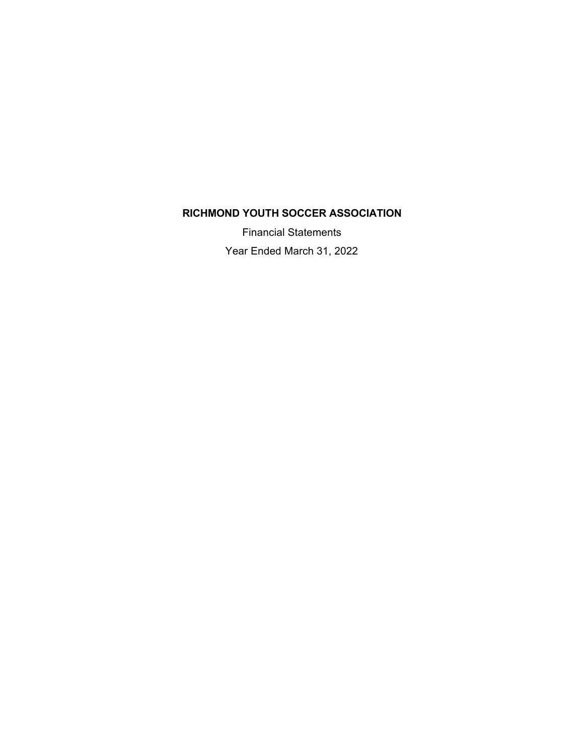Financial Statements Year Ended March 31, 2022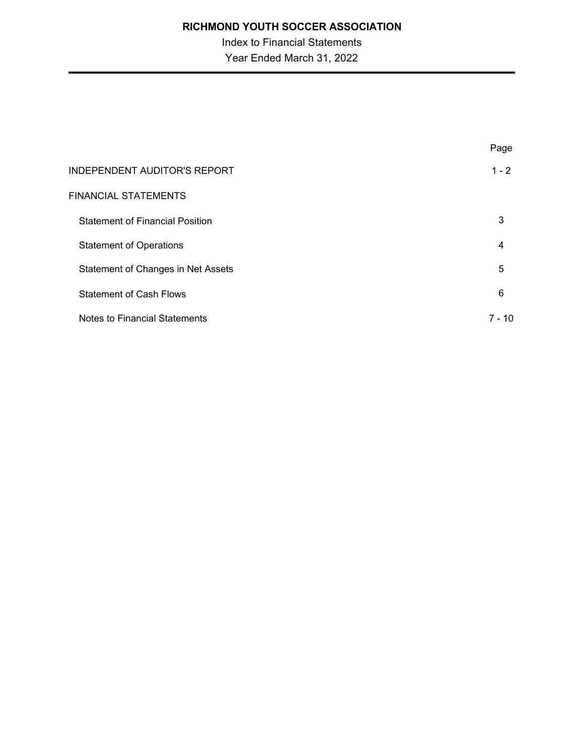Index to Financial Statements Year Ended March 31, 2022

|                                        | Page           |
|----------------------------------------|----------------|
| <b>INDEPENDENT AUDITOR'S REPORT</b>    | $1 - 2$        |
| <b>FINANCIAL STATEMENTS</b>            |                |
| <b>Statement of Financial Position</b> | 3              |
| <b>Statement of Operations</b>         | $\overline{4}$ |
| Statement of Changes in Net Assets     | 5              |
| <b>Statement of Cash Flows</b>         | 6              |
| Notes to Financial Statements          | 7 - 10         |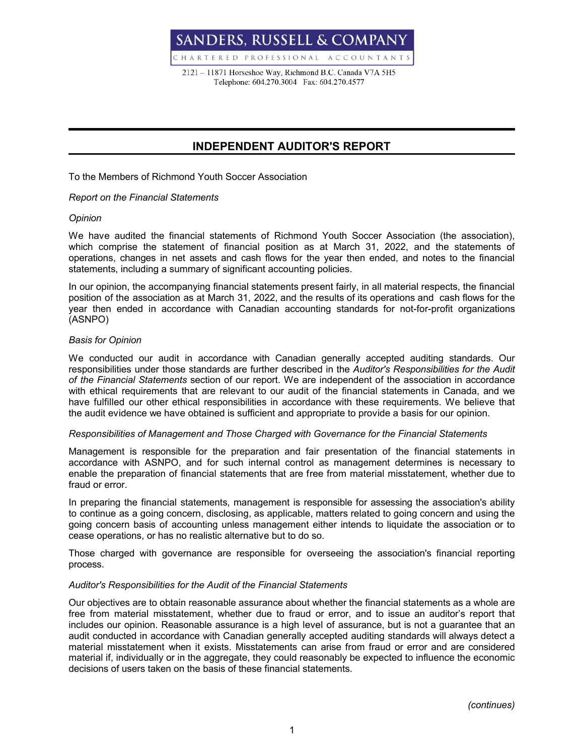**SANDERS, RUSSELL & COMPANY** CHARTERED PROFESSIONAL ACCOUNTANTS

2121 - 11871 Horseshoe Way, Richmond B.C. Canada V7A 5H5 Telephone: 604.270.3004 Fax: 604.270.4577

## **INDEPENDENT AUDITOR'S REPORT**

To the Members of Richmond Youth Soccer Association

### *Report on the Financial Statements*

#### *Opinion*

We have audited the financial statements of Richmond Youth Soccer Association (the association), which comprise the statement of financial position as at March 31, 2022, and the statements of operations, changes in net assets and cash flows for the year then ended, and notes to the financial statements, including a summary of significant accounting policies.

In our opinion, the accompanying financial statements present fairly, in all material respects, the financial position of the association as at March 31, 2022, and the results of its operations and cash flows for the year then ended in accordance with Canadian accounting standards for not-for-profit organizations (ASNPO)

### *Basis for Opinion*

We conducted our audit in accordance with Canadian generally accepted auditing standards. Our responsibilities under those standards are further described in the *Auditor's Responsibilities for the Audit of the Financial Statements* section of our report. We are independent of the association in accordance with ethical requirements that are relevant to our audit of the financial statements in Canada, and we have fulfilled our other ethical responsibilities in accordance with these requirements. We believe that the audit evidence we have obtained is sufficient and appropriate to provide a basis for our opinion.

#### *Responsibilities of Management and Those Charged with Governance for the Financial Statements*

Management is responsible for the preparation and fair presentation of the financial statements in accordance with ASNPO, and for such internal control as management determines is necessary to enable the preparation of financial statements that are free from material misstatement, whether due to fraud or error.

In preparing the financial statements, management is responsible for assessing the association's ability to continue as a going concern, disclosing, as applicable, matters related to going concern and using the going concern basis of accounting unless management either intends to liquidate the association or to cease operations, or has no realistic alternative but to do so.

Those charged with governance are responsible for overseeing the association's financial reporting process.

## *Auditor's Responsibilities for the Audit of the Financial Statements*

Our objectives are to obtain reasonable assurance about whether the financial statements as a whole are free from material misstatement, whether due to fraud or error, and to issue an auditor's report that includes our opinion. Reasonable assurance is a high level of assurance, but is not a guarantee that an audit conducted in accordance with Canadian generally accepted auditing standards will always detect a material misstatement when it exists. Misstatements can arise from fraud or error and are considered material if, individually or in the aggregate, they could reasonably be expected to influence the economic decisions of users taken on the basis of these financial statements.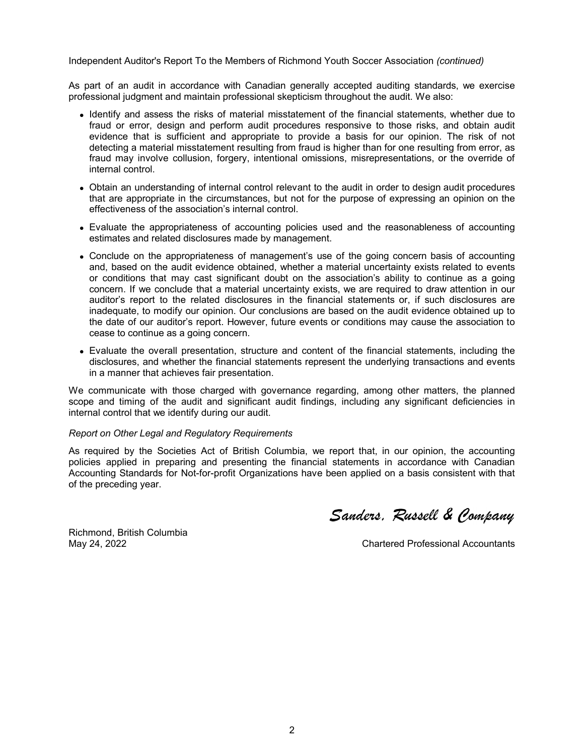Independent Auditor's Report To the Members of Richmond Youth Soccer Association *(continued)*

As part of an audit in accordance with Canadian generally accepted auditing standards, we exercise professional judgment and maintain professional skepticism throughout the audit. We also:

- Identify and assess the risks of material misstatement of the financial statements, whether due to fraud or error, design and perform audit procedures responsive to those risks, and obtain audit evidence that is sufficient and appropriate to provide a basis for our opinion. The risk of not detecting a material misstatement resulting from fraud is higher than for one resulting from error, as fraud may involve collusion, forgery, intentional omissions, misrepresentations, or the override of internal control.
- Obtain an understanding of internal control relevant to the audit in order to design audit procedures that are appropriate in the circumstances, but not for the purpose of expressing an opinion on the effectiveness of the association's internal control.
- Evaluate the appropriateness of accounting policies used and the reasonableness of accounting estimates and related disclosures made by management.
- Conclude on the appropriateness of management's use of the going concern basis of accounting and, based on the audit evidence obtained, whether a material uncertainty exists related to events or conditions that may cast significant doubt on the association's ability to continue as a going concern. If we conclude that a material uncertainty exists, we are required to draw attention in our auditor's report to the related disclosures in the financial statements or, if such disclosures are inadequate, to modify our opinion. Our conclusions are based on the audit evidence obtained up to the date of our auditor's report. However, future events or conditions may cause the association to cease to continue as a going concern.
- Evaluate the overall presentation, structure and content of the financial statements, including the disclosures, and whether the financial statements represent the underlying transactions and events in a manner that achieves fair presentation.

We communicate with those charged with governance regarding, among other matters, the planned scope and timing of the audit and significant audit findings, including any significant deficiencies in internal control that we identify during our audit.

#### *Report on Other Legal and Regulatory Requirements*

As required by the Societies Act of British Columbia, we report that, in our opinion, the accounting policies applied in preparing and presenting the financial statements in accordance with Canadian Accounting Standards for Not-for-profit Organizations have been applied on a basis consistent with that of the preceding year.

Sanders. Russell & Company

Richmond, British Columbia

May 24, 2022 Chartered Professional Accountants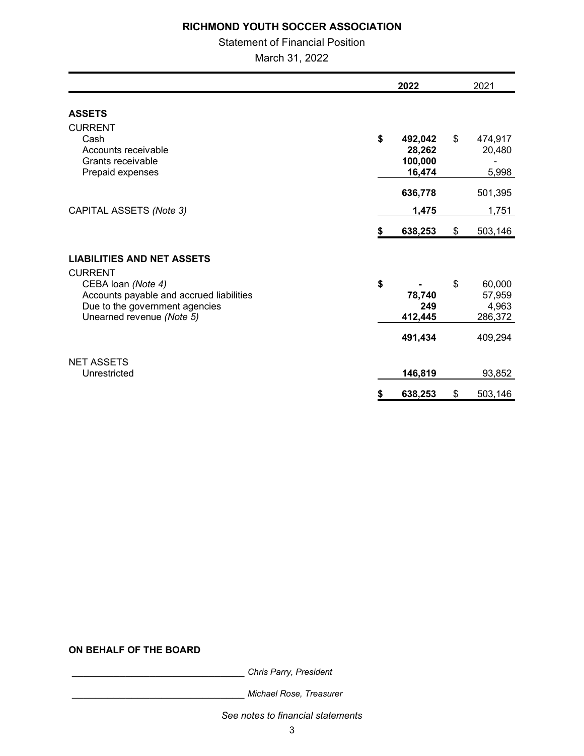## Statement of Financial Position

March 31, 2022

|                                                             | 2022          | 2021             |
|-------------------------------------------------------------|---------------|------------------|
| <b>ASSETS</b>                                               |               |                  |
| <b>CURRENT</b>                                              |               |                  |
| Cash                                                        | \$<br>492,042 | \$<br>474,917    |
| Accounts receivable                                         | 28,262        | 20,480           |
| Grants receivable                                           | 100,000       |                  |
| Prepaid expenses                                            | 16,474        | 5,998            |
|                                                             | 636,778       | 501,395          |
| CAPITAL ASSETS (Note 3)                                     | 1,475         | 1,751            |
|                                                             | \$<br>638,253 | \$<br>503,146    |
| <b>LIABILITIES AND NET ASSETS</b>                           |               |                  |
| <b>CURRENT</b>                                              |               |                  |
| CEBA loan (Note 4)                                          | \$            | \$<br>60,000     |
| Accounts payable and accrued liabilities                    | 78,740<br>249 | 57,959           |
| Due to the government agencies<br>Unearned revenue (Note 5) | 412,445       | 4,963<br>286,372 |
|                                                             |               |                  |
|                                                             | 491,434       | 409,294          |
| <b>NET ASSETS</b>                                           |               |                  |
| Unrestricted                                                | 146,819       | 93,852           |
|                                                             | \$<br>638,253 | \$<br>503,146    |

## **ON BEHALF OF THE BOARD**

\_\_\_\_\_\_\_\_\_\_\_\_\_\_\_\_\_\_\_\_\_\_\_\_\_\_\_\_\_ *Chris Parry, President*

\_\_\_\_\_\_\_\_\_\_\_\_\_\_\_\_\_\_\_\_\_\_\_\_\_\_\_\_\_ *Michael Rose, Treasurer* 

*See notes to financial statements*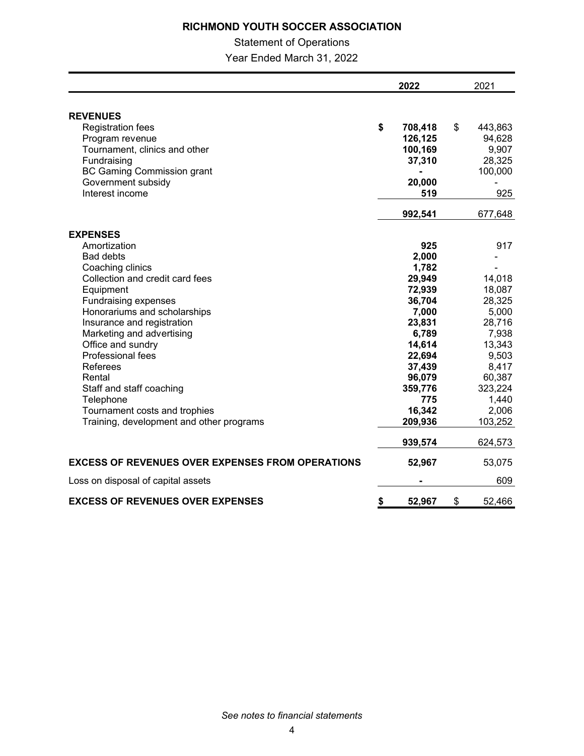## Statement of Operations

Year Ended March 31, 2022

|                                                         | 2022          | 2021          |  |
|---------------------------------------------------------|---------------|---------------|--|
|                                                         |               |               |  |
| <b>REVENUES</b>                                         |               |               |  |
| <b>Registration fees</b>                                | \$<br>708,418 | \$<br>443,863 |  |
| Program revenue                                         | 126,125       | 94,628        |  |
| Tournament, clinics and other                           | 100,169       | 9,907         |  |
| Fundraising                                             | 37,310        | 28,325        |  |
| <b>BC Gaming Commission grant</b>                       |               | 100,000       |  |
| Government subsidy                                      | 20,000        |               |  |
| Interest income                                         | 519           | 925           |  |
|                                                         | 992,541       | 677,648       |  |
| <b>EXPENSES</b>                                         |               |               |  |
| Amortization                                            | 925           | 917           |  |
| <b>Bad debts</b>                                        | 2,000         |               |  |
| Coaching clinics                                        | 1,782         |               |  |
| Collection and credit card fees                         | 29,949        | 14,018        |  |
| Equipment                                               | 72,939        | 18,087        |  |
| Fundraising expenses                                    | 36,704        | 28,325        |  |
| Honorariums and scholarships                            | 7,000         | 5,000         |  |
| Insurance and registration                              | 23,831        | 28,716        |  |
| Marketing and advertising                               | 6,789         | 7,938         |  |
| Office and sundry                                       | 14,614        | 13,343        |  |
| <b>Professional fees</b>                                | 22,694        | 9,503         |  |
| Referees                                                | 37,439        | 8,417         |  |
| Rental                                                  | 96,079        | 60,387        |  |
| Staff and staff coaching                                | 359,776       | 323,224       |  |
| Telephone                                               | 775           | 1,440         |  |
| Tournament costs and trophies                           | 16,342        | 2,006         |  |
| Training, development and other programs                | 209,936       | 103,252       |  |
|                                                         | 939,574       | 624,573       |  |
| <b>EXCESS OF REVENUES OVER EXPENSES FROM OPERATIONS</b> | 52,967        | 53,075        |  |
| Loss on disposal of capital assets                      |               | 609           |  |
| <b>EXCESS OF REVENUES OVER EXPENSES</b>                 | \$<br>52,967  | \$<br>52,466  |  |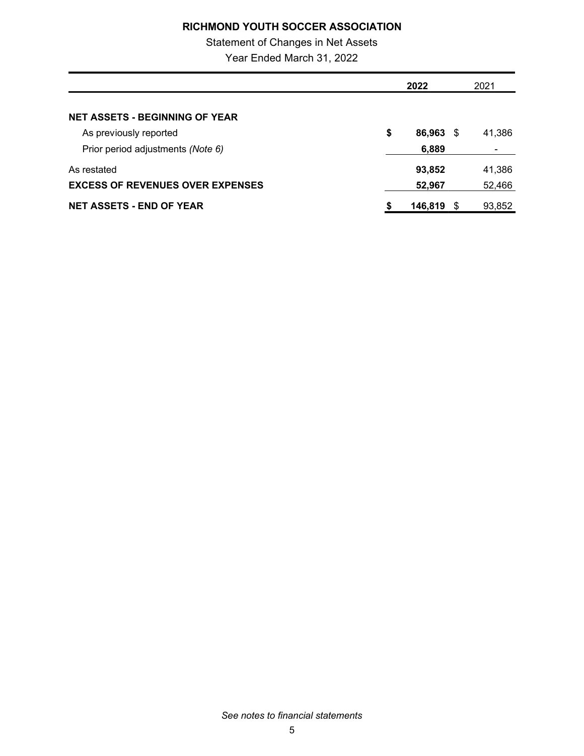# Statement of Changes in Net Assets

Year Ended March 31, 2022

|                                         | 2022 |         |      | 2021   |  |
|-----------------------------------------|------|---------|------|--------|--|
|                                         |      |         |      |        |  |
| <b>NET ASSETS - BEGINNING OF YEAR</b>   |      |         |      |        |  |
| As previously reported                  | \$   | 86,963  | - \$ | 41,386 |  |
| Prior period adjustments (Note 6)       |      | 6,889   |      |        |  |
| As restated                             |      | 93,852  |      | 41,386 |  |
| <b>EXCESS OF REVENUES OVER EXPENSES</b> |      | 52,967  |      | 52,466 |  |
| <b>NET ASSETS - END OF YEAR</b>         | \$   | 146.819 |      | 93,852 |  |

*See notes to financial statements*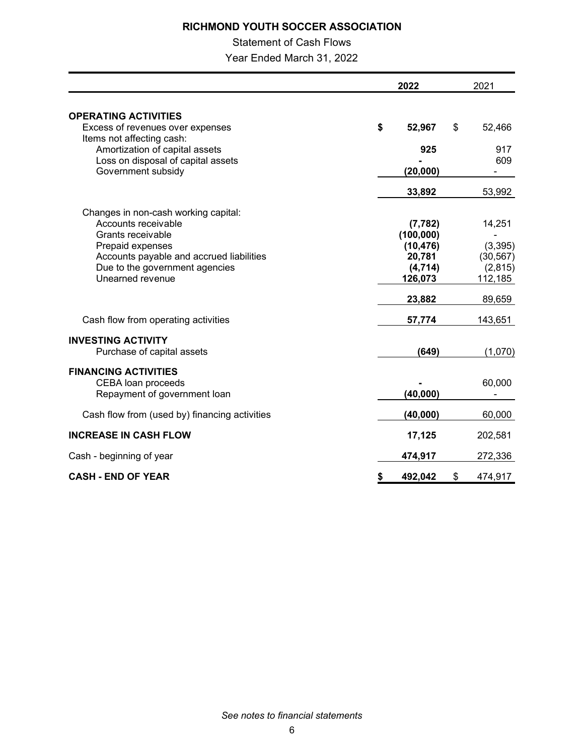## Statement of Cash Flows

Year Ended March 31, 2022

|                                                             |           | 2022       |    |           |
|-------------------------------------------------------------|-----------|------------|----|-----------|
| <b>OPERATING ACTIVITIES</b>                                 |           |            |    |           |
| Excess of revenues over expenses                            | \$        | 52,967     | \$ | 52,466    |
| Items not affecting cash:<br>Amortization of capital assets |           | 925        |    | 917       |
| Loss on disposal of capital assets                          |           |            |    | 609       |
| Government subsidy                                          |           | (20,000)   |    |           |
|                                                             |           | 33,892     |    | 53,992    |
| Changes in non-cash working capital:                        |           |            |    |           |
| Accounts receivable                                         |           | (7, 782)   |    | 14,251    |
| Grants receivable                                           |           | (100, 000) |    |           |
| Prepaid expenses                                            |           | (10, 476)  |    | (3, 395)  |
| Accounts payable and accrued liabilities                    |           | 20,781     |    | (30, 567) |
| Due to the government agencies<br>Unearned revenue          |           | (4, 714)   |    | (2,815)   |
|                                                             |           | 126,073    |    | 112,185   |
|                                                             |           | 23,882     |    | 89,659    |
| Cash flow from operating activities                         |           | 57,774     |    | 143,651   |
| <b>INVESTING ACTIVITY</b>                                   |           |            |    |           |
| Purchase of capital assets                                  |           | (649)      |    | (1,070)   |
| <b>FINANCING ACTIVITIES</b>                                 |           |            |    |           |
| CEBA loan proceeds                                          |           |            |    | 60,000    |
| Repayment of government loan                                |           | (40,000)   |    |           |
| Cash flow from (used by) financing activities               |           | (40,000)   |    | 60,000    |
| <b>INCREASE IN CASH FLOW</b>                                |           | 17,125     |    | 202,581   |
| Cash - beginning of year                                    |           | 474,917    |    | 272,336   |
| <b>CASH - END OF YEAR</b>                                   | <u>\$</u> | 492,042    | \$ | 474,917   |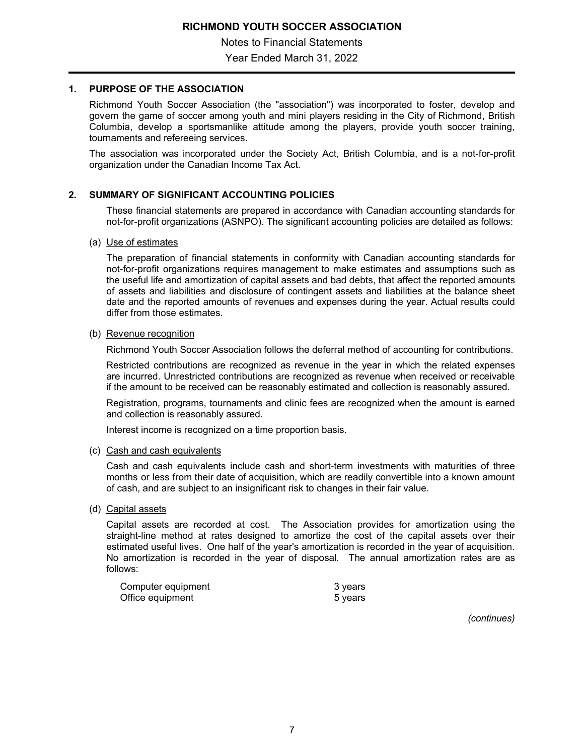Notes to Financial Statements

Year Ended March 31, 2022

## **1. PURPOSE OF THE ASSOCIATION**

Richmond Youth Soccer Association (the "association") was incorporated to foster, develop and govern the game of soccer among youth and mini players residing in the City of Richmond, British Columbia, develop a sportsmanlike attitude among the players, provide youth soccer training, tournaments and refereeing services.

The association was incorporated under the Society Act, British Columbia, and is a not-for-profit organization under the Canadian Income Tax Act.

### **2. SUMMARY OF SIGNIFICANT ACCOUNTING POLICIES**

These financial statements are prepared in accordance with Canadian accounting standards for not-for-profit organizations (ASNPO). The significant accounting policies are detailed as follows:

#### (a) Use of estimates

The preparation of financial statements in conformity with Canadian accounting standards for not-for-profit organizations requires management to make estimates and assumptions such as the useful life and amortization of capital assets and bad debts, that affect the reported amounts of assets and liabilities and disclosure of contingent assets and liabilities at the balance sheet date and the reported amounts of revenues and expenses during the year. Actual results could differ from those estimates.

#### (b) Revenue recognition

Richmond Youth Soccer Association follows the deferral method of accounting for contributions.

Restricted contributions are recognized as revenue in the year in which the related expenses are incurred. Unrestricted contributions are recognized as revenue when received or receivable if the amount to be received can be reasonably estimated and collection is reasonably assured.

Registration, programs, tournaments and clinic fees are recognized when the amount is earned and collection is reasonably assured.

Interest income is recognized on a time proportion basis.

#### (c) Cash and cash equivalents

Cash and cash equivalents include cash and short-term investments with maturities of three months or less from their date of acquisition, which are readily convertible into a known amount of cash, and are subject to an insignificant risk to changes in their fair value.

#### (d) Capital assets

Capital assets are recorded at cost. The Association provides for amortization using the straight-line method at rates designed to amortize the cost of the capital assets over their estimated useful lives. One half of the year's amortization is recorded in the year of acquisition. No amortization is recorded in the year of disposal. The annual amortization rates are as follows:

| Computer equipment | 3 years |
|--------------------|---------|
| Office equipment   | 5 years |

*(continues)*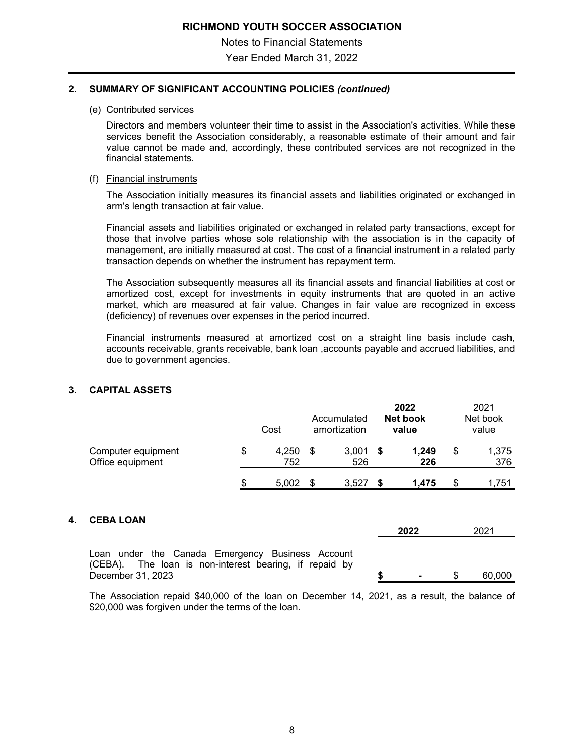Notes to Financial Statements Year Ended March 31, 2022

### **2. SUMMARY OF SIGNIFICANT ACCOUNTING POLICIES** *(continued)*

#### (e) Contributed services

Directors and members volunteer their time to assist in the Association's activities. While these services benefit the Association considerably, a reasonable estimate of their amount and fair value cannot be made and, accordingly, these contributed services are not recognized in the financial statements.

### (f) Financial instruments

The Association initially measures its financial assets and liabilities originated or exchanged in arm's length transaction at fair value.

Financial assets and liabilities originated or exchanged in related party transactions, except for those that involve parties whose sole relationship with the association is in the capacity of management, are initially measured at cost. The cost of a financial instrument in a related party transaction depends on whether the instrument has repayment term.

The Association subsequently measures all its financial assets and financial liabilities at cost or amortized cost, except for investments in equity instruments that are quoted in an active market, which are measured at fair value. Changes in fair value are recognized in excess (deficiency) of revenues over expenses in the period incurred.

Financial instruments measured at amortized cost on a straight line basis include cash, accounts receivable, grants receivable, bank loan ,accounts payable and accrued liabilities, and due to government agencies.

## **3. CAPITAL ASSETS**

|                                        |   | Cost         | Accumulated<br>amortization |              |              |    | 2022<br><b>Net book</b><br>value |  | 2021<br>Net book<br>value |
|----------------------------------------|---|--------------|-----------------------------|--------------|--------------|----|----------------------------------|--|---------------------------|
| Computer equipment<br>Office equipment | S | 4.250<br>752 |                             | 3.001<br>526 | 1.249<br>226 | \$ | 1,375<br>376                     |  |                           |
|                                        | æ | 5.002        |                             | 3.527        | 1,475        | S  | 1,751                            |  |                           |

# **4. CEBA LOAN**

| UEBA LUAN                                                                                                                       | 2022           | 2021   |
|---------------------------------------------------------------------------------------------------------------------------------|----------------|--------|
| Loan under the Canada Emergency Business Account<br>(CEBA). The loan is non-interest bearing, if repaid by<br>December 31. 2023 | $\blacksquare$ | 60.000 |

The Association repaid \$40,000 of the loan on December 14, 2021, as a result, the balance of \$20,000 was forgiven under the terms of the loan.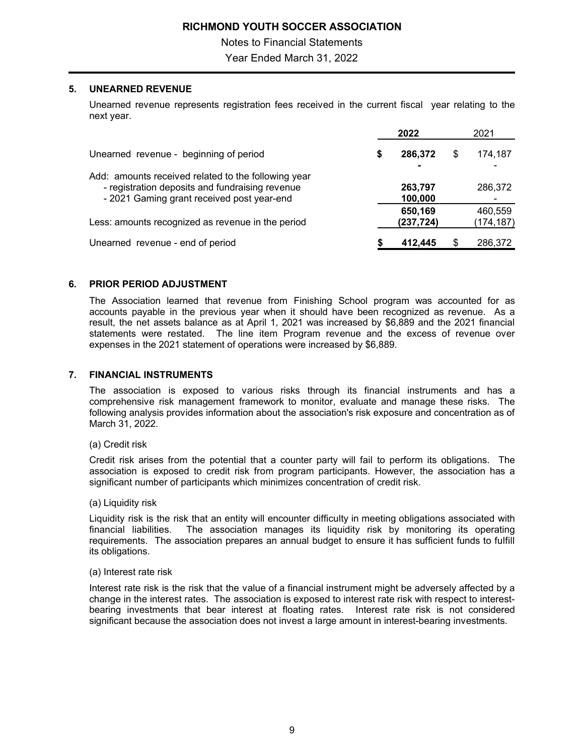Notes to Financial Statements

Year Ended March 31, 2022

## **5. UNEARNED REVENUE**

Unearned revenue represents registration fees received in the current fiscal year relating to the next year.

|                                                                                                                                                      |   | 2022                  |    | 2021                  |
|------------------------------------------------------------------------------------------------------------------------------------------------------|---|-----------------------|----|-----------------------|
| Unearned revenue - beginning of period                                                                                                               | S | 286,372               | \$ | 174,187               |
| Add: amounts received related to the following year<br>- registration deposits and fundraising revenue<br>- 2021 Gaming grant received post year-end |   | 263,797<br>100,000    |    | 286,372               |
| Less: amounts recognized as revenue in the period                                                                                                    |   | 650,169<br>(237, 724) |    | 460,559<br>(174, 187) |
| Unearned revenue - end of period                                                                                                                     |   | 412,445               | S  | 286,372               |

### **6. PRIOR PERIOD ADJUSTMENT**

The Association learned that revenue from Finishing School program was accounted for as accounts payable in the previous year when it should have been recognized as revenue. As a result, the net assets balance as at April 1, 2021 was increased by \$6,889 and the 2021 financial statements were restated. The line item Program revenue and the excess of revenue over expenses in the 2021 statement of operations were increased by \$6,889.

### **7. FINANCIAL INSTRUMENTS**

The association is exposed to various risks through its financial instruments and has a comprehensive risk management framework to monitor, evaluate and manage these risks. The following analysis provides information about the association's risk exposure and concentration as of March 31, 2022.

(a) Credit risk

Credit risk arises from the potential that a counter party will fail to perform its obligations. The association is exposed to credit risk from program participants. However, the association has a significant number of participants which minimizes concentration of credit risk.

(a) Liquidity risk

Liquidity risk is the risk that an entity will encounter difficulty in meeting obligations associated with financial liabilities. The association manages its liquidity risk by monitoring its operating requirements. The association prepares an annual budget to ensure it has sufficient funds to fulfill its obligations.

(a) Interest rate risk

Interest rate risk is the risk that the value of a financial instrument might be adversely affected by a change in the interest rates. The association is exposed to interest rate risk with respect to interestbearing investments that bear interest at floating rates. Interest rate risk is not considered significant because the association does not invest a large amount in interest-bearing investments.